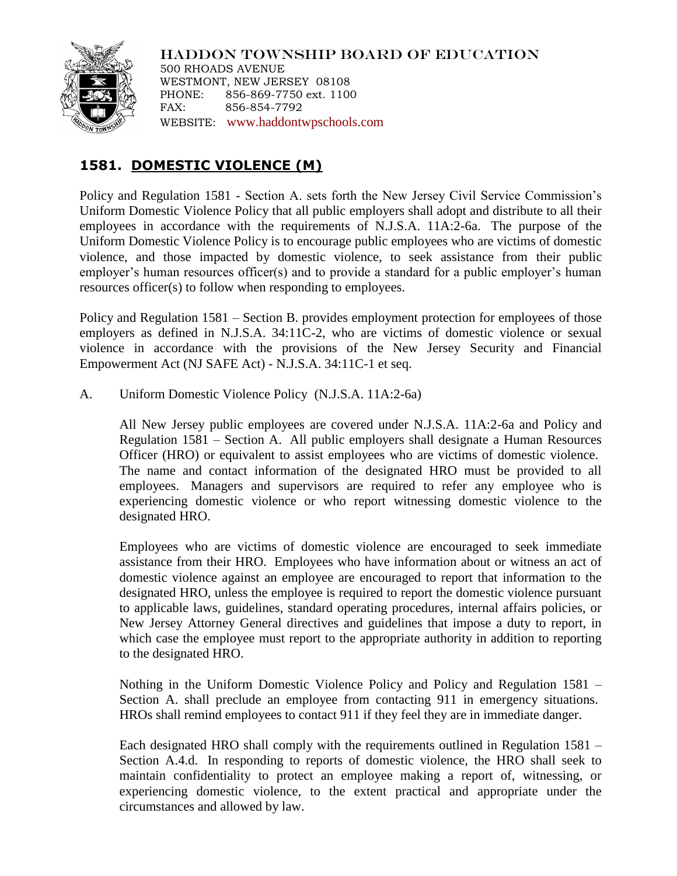

HADDON TOWNSHIP BOARD OF EDUCATION 500 RHOADS AVENUE WESTMONT, NEW JERSEY 08108 PHONE: 856-869-7750 ext. 1100 FAX: 856-854-7792 WEBSITE: [www.haddontwpschools.com](http://www.haddontwpschools.com/)

## **1581. DOMESTIC VIOLENCE (M)**

Policy and Regulation 1581 - Section A. sets forth the New Jersey Civil Service Commission's Uniform Domestic Violence Policy that all public employers shall adopt and distribute to all their employees in accordance with the requirements of N.J.S.A. 11A:2-6a. The purpose of the Uniform Domestic Violence Policy is to encourage public employees who are victims of domestic violence, and those impacted by domestic violence, to seek assistance from their public employer's human resources officer(s) and to provide a standard for a public employer's human resources officer(s) to follow when responding to employees.

Policy and Regulation 1581 – Section B. provides employment protection for employees of those employers as defined in N.J.S.A. 34:11C-2, who are victims of domestic violence or sexual violence in accordance with the provisions of the New Jersey Security and Financial Empowerment Act (NJ SAFE Act) - N.J.S.A. 34:11C-1 et seq.

A. Uniform Domestic Violence Policy (N.J.S.A. 11A:2-6a)

All New Jersey public employees are covered under N.J.S.A. 11A:2-6a and Policy and Regulation 1581 – Section A. All public employers shall designate a Human Resources Officer (HRO) or equivalent to assist employees who are victims of domestic violence. The name and contact information of the designated HRO must be provided to all employees. Managers and supervisors are required to refer any employee who is experiencing domestic violence or who report witnessing domestic violence to the designated HRO.

Employees who are victims of domestic violence are encouraged to seek immediate assistance from their HRO. Employees who have information about or witness an act of domestic violence against an employee are encouraged to report that information to the designated HRO, unless the employee is required to report the domestic violence pursuant to applicable laws, guidelines, standard operating procedures, internal affairs policies, or New Jersey Attorney General directives and guidelines that impose a duty to report, in which case the employee must report to the appropriate authority in addition to reporting to the designated HRO.

Nothing in the Uniform Domestic Violence Policy and Policy and Regulation 1581 – Section A. shall preclude an employee from contacting 911 in emergency situations. HROs shall remind employees to contact 911 if they feel they are in immediate danger.

Each designated HRO shall comply with the requirements outlined in Regulation 1581 – Section A.4.d. In responding to reports of domestic violence, the HRO shall seek to maintain confidentiality to protect an employee making a report of, witnessing, or experiencing domestic violence, to the extent practical and appropriate under the circumstances and allowed by law.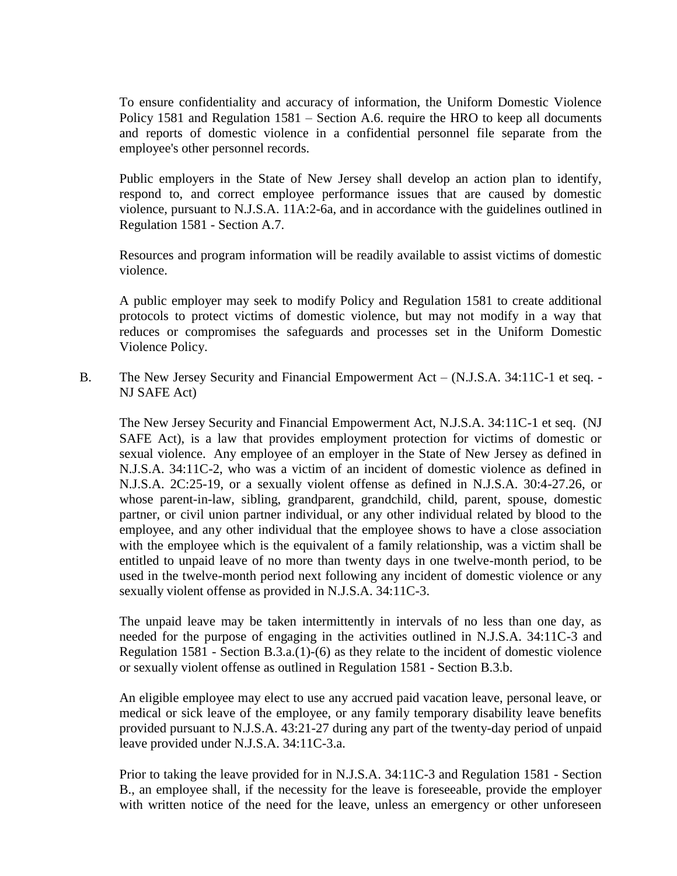To ensure confidentiality and accuracy of information, the Uniform Domestic Violence Policy 1581 and Regulation 1581 – Section A.6. require the HRO to keep all documents and reports of domestic violence in a confidential personnel file separate from the employee's other personnel records.

Public employers in the State of New Jersey shall develop an action plan to identify, respond to, and correct employee performance issues that are caused by domestic violence, pursuant to N.J.S.A. 11A:2-6a, and in accordance with the guidelines outlined in Regulation 1581 - Section A.7.

Resources and program information will be readily available to assist victims of domestic violence.

A public employer may seek to modify Policy and Regulation 1581 to create additional protocols to protect victims of domestic violence, but may not modify in a way that reduces or compromises the safeguards and processes set in the Uniform Domestic Violence Policy.

B. The New Jersey Security and Financial Empowerment Act – (N.J.S.A. 34:11C-1 et seq. - NJ SAFE Act)

The New Jersey Security and Financial Empowerment Act, N.J.S.A. 34:11C-1 et seq. (NJ SAFE Act), is a law that provides employment protection for victims of domestic or sexual violence. Any employee of an employer in the State of New Jersey as defined in N.J.S.A. 34:11C-2, who was a victim of an incident of domestic violence as defined in N.J.S.A. 2C:25-19, or a sexually violent offense as defined in N.J.S.A. 30:4-27.26, or whose parent-in-law, sibling, grandparent, grandchild, child, parent, spouse, domestic partner, or civil union partner individual, or any other individual related by blood to the employee, and any other individual that the employee shows to have a close association with the employee which is the equivalent of a family relationship, was a victim shall be entitled to unpaid leave of no more than twenty days in one twelve-month period, to be used in the twelve-month period next following any incident of domestic violence or any sexually violent offense as provided in N.J.S.A. 34:11C-3.

The unpaid leave may be taken intermittently in intervals of no less than one day, as needed for the purpose of engaging in the activities outlined in N.J.S.A. 34:11C-3 and Regulation 1581 - Section B.3.a.(1)-(6) as they relate to the incident of domestic violence or sexually violent offense as outlined in Regulation 1581 - Section B.3.b.

An eligible employee may elect to use any accrued paid vacation leave, personal leave, or medical or sick leave of the employee, or any family temporary disability leave benefits provided pursuant to N.J.S.A. 43:21-27 during any part of the twenty-day period of unpaid leave provided under N.J.S.A. 34:11C-3.a.

Prior to taking the leave provided for in N.J.S.A. 34:11C-3 and Regulation 1581 - Section B., an employee shall, if the necessity for the leave is foreseeable, provide the employer with written notice of the need for the leave, unless an emergency or other unforeseen